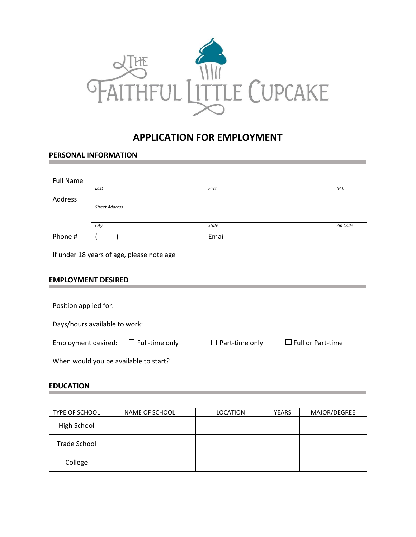

# **APPLICATION FOR EMPLOYMENT**

### **PERSONAL INFORMATION**

| <b>Full Name</b>                      |                                                                        |                                           |                       |                          |  |  |
|---------------------------------------|------------------------------------------------------------------------|-------------------------------------------|-----------------------|--------------------------|--|--|
|                                       | Last                                                                   |                                           | First                 | M.I.                     |  |  |
| Address                               |                                                                        |                                           |                       |                          |  |  |
|                                       | <b>Street Address</b>                                                  |                                           |                       |                          |  |  |
|                                       | City                                                                   |                                           | <b>State</b>          | Zip Code                 |  |  |
| Phone #                               |                                                                        |                                           | Email                 |                          |  |  |
|                                       |                                                                        |                                           |                       |                          |  |  |
|                                       |                                                                        | If under 18 years of age, please note age |                       |                          |  |  |
|                                       |                                                                        |                                           |                       |                          |  |  |
|                                       |                                                                        |                                           |                       |                          |  |  |
| <b>EMPLOYMENT DESIRED</b>             |                                                                        |                                           |                       |                          |  |  |
|                                       |                                                                        |                                           |                       |                          |  |  |
|                                       | Position applied for:<br><u> 1989 - Andrea Andrew Maria (h. 1989).</u> |                                           |                       |                          |  |  |
|                                       |                                                                        |                                           |                       |                          |  |  |
| Days/hours available to work:         |                                                                        |                                           |                       |                          |  |  |
|                                       |                                                                        |                                           |                       |                          |  |  |
|                                       |                                                                        | Employment desired: $\Box$ Full-time only | $\Box$ Part-time only | $\Box$ Full or Part-time |  |  |
|                                       |                                                                        |                                           |                       |                          |  |  |
| When would you be available to start? |                                                                        |                                           |                       |                          |  |  |
|                                       |                                                                        |                                           |                       |                          |  |  |

## **EDUCATION**

| TYPE OF SCHOOL | NAME OF SCHOOL | <b>LOCATION</b> | <b>YEARS</b> | MAJOR/DEGREE |
|----------------|----------------|-----------------|--------------|--------------|
| High School    |                |                 |              |              |
| Trade School   |                |                 |              |              |
| College        |                |                 |              |              |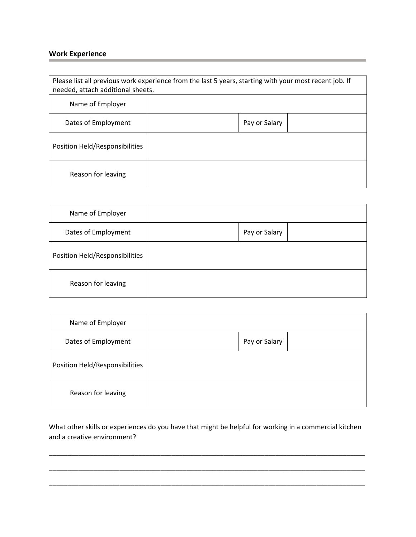# **Work Experience**

| Please list all previous work experience from the last 5 years, starting with your most recent job. If<br>needed, attach additional sheets. |  |               |  |  |
|---------------------------------------------------------------------------------------------------------------------------------------------|--|---------------|--|--|
| Name of Employer                                                                                                                            |  |               |  |  |
| Dates of Employment                                                                                                                         |  | Pay or Salary |  |  |
| Position Held/Responsibilities                                                                                                              |  |               |  |  |
| Reason for leaving                                                                                                                          |  |               |  |  |

a sa kacamatan ing Kabupatèn Kabupatèn Kabupatèn Kabupatèn Kabupatèn Kabupatèn Kabupatèn Kabupatèn Kabupatèn K

| Name of Employer               |               |  |
|--------------------------------|---------------|--|
| Dates of Employment            | Pay or Salary |  |
| Position Held/Responsibilities |               |  |
| Reason for leaving             |               |  |

| Name of Employer               |               |  |
|--------------------------------|---------------|--|
| Dates of Employment            | Pay or Salary |  |
| Position Held/Responsibilities |               |  |
| Reason for leaving             |               |  |

What other skills or experiences do you have that might be helpful for working in a commercial kitchen and a creative environment?

\_\_\_\_\_\_\_\_\_\_\_\_\_\_\_\_\_\_\_\_\_\_\_\_\_\_\_\_\_\_\_\_\_\_\_\_\_\_\_\_\_\_\_\_\_\_\_\_\_\_\_\_\_\_\_\_\_\_\_\_\_\_\_\_\_\_\_\_\_\_\_\_\_\_\_\_\_\_\_\_\_\_\_\_\_

\_\_\_\_\_\_\_\_\_\_\_\_\_\_\_\_\_\_\_\_\_\_\_\_\_\_\_\_\_\_\_\_\_\_\_\_\_\_\_\_\_\_\_\_\_\_\_\_\_\_\_\_\_\_\_\_\_\_\_\_\_\_\_\_\_\_\_\_\_\_\_\_\_\_\_\_\_\_\_\_\_\_\_\_\_

\_\_\_\_\_\_\_\_\_\_\_\_\_\_\_\_\_\_\_\_\_\_\_\_\_\_\_\_\_\_\_\_\_\_\_\_\_\_\_\_\_\_\_\_\_\_\_\_\_\_\_\_\_\_\_\_\_\_\_\_\_\_\_\_\_\_\_\_\_\_\_\_\_\_\_\_\_\_\_\_\_\_\_\_\_